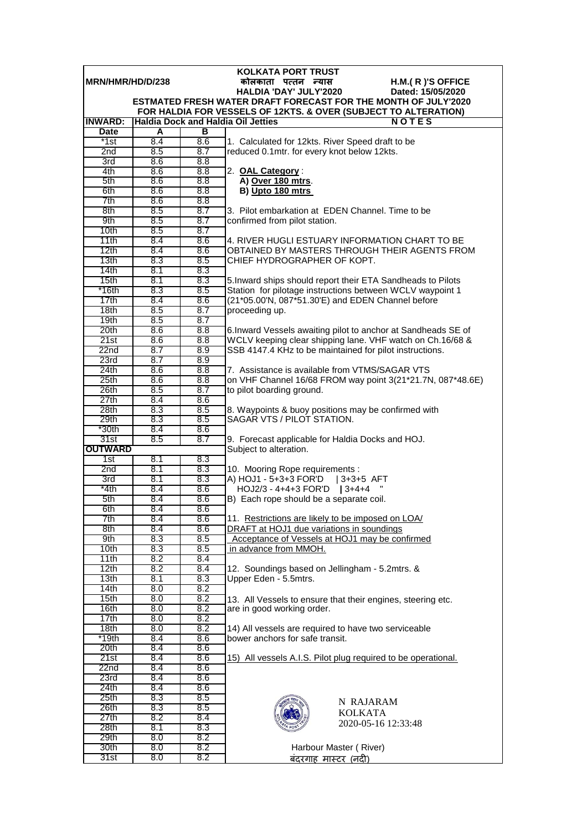| <b>KOLKATA PORT TRUST</b> |            |            |                                                                                                                                          |  |  |  |
|---------------------------|------------|------------|------------------------------------------------------------------------------------------------------------------------------------------|--|--|--|
| MRN/HMR/HD/D/238          |            |            | H.M.(R)'S OFFICE<br>कोलकाता पत्तन न्यास                                                                                                  |  |  |  |
|                           |            |            | HALDIA 'DAY' JULY'2020<br>Dated: 15/05/2020                                                                                              |  |  |  |
|                           |            |            | <b>ESTMATED FRESH WATER DRAFT FORECAST FOR THE MONTH OF JULY'2020</b><br>FOR HALDIA FOR VESSELS OF 12KTS. & OVER (SUBJECT TO ALTERATION) |  |  |  |
| <b>INWARD:</b>            |            |            | <b>Haldia Dock and Haldia Oil Jetties</b><br><b>NOTES</b>                                                                                |  |  |  |
| <b>Date</b>               | A          | в          |                                                                                                                                          |  |  |  |
| *1st                      | 8.4        | 8.6        | 1. Calculated for 12kts. River Speed draft to be                                                                                         |  |  |  |
| 2nd                       | 8.5        | 8.7        | reduced 0.1mtr. for every knot below 12kts.                                                                                              |  |  |  |
| 3rd                       | 8.6        | 8.8        |                                                                                                                                          |  |  |  |
| 4th                       | 8.6        | 8.8        | 2. OAL Category:                                                                                                                         |  |  |  |
| 5th                       | 8.6        | 8.8        | A) Over 180 mtrs.                                                                                                                        |  |  |  |
| 6th                       | 8.6        | 8.8        | B) Upto 180 mtrs                                                                                                                         |  |  |  |
| 7th<br>8th                | 8.6<br>8.5 | 8.8<br>8.7 | 3. Pilot embarkation at EDEN Channel. Time to be                                                                                         |  |  |  |
| 9th                       | 8.5        | 8.7        | confirmed from pilot station.                                                                                                            |  |  |  |
| 10 <sub>th</sub>          | 8.5        | 8.7        |                                                                                                                                          |  |  |  |
| 11th                      | 8.4        | 8.6        | 4. RIVER HUGLI ESTUARY INFORMATION CHART TO BE                                                                                           |  |  |  |
| 12th                      | 8.4        | 8.6        | OBTAINED BY MASTERS THROUGH THEIR AGENTS FROM                                                                                            |  |  |  |
| 13th                      | 8.3        | 8.5        | CHIEF HYDROGRAPHER OF KOPT.                                                                                                              |  |  |  |
| 14th                      | 8.1        | 8.3        |                                                                                                                                          |  |  |  |
| 15th                      | 8.1        | 8.3        | 5. Inward ships should report their ETA Sandheads to Pilots                                                                              |  |  |  |
| *16th                     | 8.3        | 8.5        | Station for pilotage instructions between WCLV waypoint 1                                                                                |  |  |  |
| 17th<br>18th              | 8.4<br>8.5 | 8.6<br>8.7 | (21*05.00'N, 087*51.30'E) and EDEN Channel before<br>proceeding up.                                                                      |  |  |  |
| 19 <sub>th</sub>          | 8.5        | 8.7        |                                                                                                                                          |  |  |  |
| 20th                      | 8.6        | 8.8        | 6. Inward Vessels awaiting pilot to anchor at Sandheads SE of                                                                            |  |  |  |
| 21st                      | 8.6        | 8.8        | WCLV keeping clear shipping lane. VHF watch on Ch.16/68 &                                                                                |  |  |  |
| 22n <sub>d</sub>          | 8.7        | 8.9        | SSB 4147.4 KHz to be maintained for pilot instructions.                                                                                  |  |  |  |
| 23rd                      | 8.7        | 8.9        |                                                                                                                                          |  |  |  |
| 24th                      | 8.6        | 8.8        | 7. Assistance is available from VTMS/SAGAR VTS                                                                                           |  |  |  |
| 25th                      | 8.6        | 8.8        | on VHF Channel 16/68 FROM way point 3(21*21.7N, 087*48.6E)                                                                               |  |  |  |
| 26th                      | 8.5        | 8.7        | to pilot boarding ground.                                                                                                                |  |  |  |
| 27th                      | 8.4        | 8.6        |                                                                                                                                          |  |  |  |
| 28th<br>29th              | 8.3<br>8.3 | 8.5<br>8.5 | 8. Waypoints & buoy positions may be confirmed with<br>SAGAR VTS / PILOT STATION.                                                        |  |  |  |
| $*30th$                   | 8.4        | 8.6        |                                                                                                                                          |  |  |  |
| 31st                      | 8.5        | 8.7        | 9. Forecast applicable for Haldia Docks and HOJ.                                                                                         |  |  |  |
| <b>OUTWARD</b>            |            |            | Subject to alteration.                                                                                                                   |  |  |  |
| 1st                       | 8.1        | 8.3        |                                                                                                                                          |  |  |  |
| 2nd                       | 8.1        | 8.3        | 10. Mooring Rope requirements :                                                                                                          |  |  |  |
| 3rd                       | 8.1        | 8.3        | A) HOJ1 - 5+3+3 FOR'D   3+3+5 AFT                                                                                                        |  |  |  |
| $*4th$                    | 8.4<br>8.4 | 8.6        | HOJ2/3 - 4+4+3 FOR'D   3+4+4                                                                                                             |  |  |  |
| 5th<br>6th                | 8.4        | 8.6<br>8.6 | B) Each rope should be a separate coil.                                                                                                  |  |  |  |
| 7th                       | 8.4        | 8.6        | 11. Restrictions are likely to be imposed on LOA/                                                                                        |  |  |  |
| 8th                       | 8.4        | 8.6        | DRAFT at HOJ1 due variations in soundings                                                                                                |  |  |  |
| 9th                       | 8.3        | 8.5        | Acceptance of Vessels at HOJ1 may be confirmed                                                                                           |  |  |  |
| 10th                      | 8.3        | 8.5        | in advance from MMOH.                                                                                                                    |  |  |  |
| 11th                      | 8.2        | 8.4        |                                                                                                                                          |  |  |  |
| 12th                      | 8.2        | 8.4        | 12. Soundings based on Jellingham - 5.2mtrs. &                                                                                           |  |  |  |
| 13 <sub>th</sub>          | 8.1        | 8.3        | Upper Eden - 5.5mtrs.                                                                                                                    |  |  |  |
| 14th<br>15th              | 8.0<br>8.0 | 8.2<br>8.2 |                                                                                                                                          |  |  |  |
| 16th                      | 8.0        | 8.2        | 13. All Vessels to ensure that their engines, steering etc.<br>are in good working order.                                                |  |  |  |
| 17th                      | 8.0        | 8.2        |                                                                                                                                          |  |  |  |
| 18 <sub>th</sub>          | 8.0        | 8.2        | 14) All vessels are required to have two serviceable                                                                                     |  |  |  |
| *19th                     | 8.4        | 8.6        | bower anchors for safe transit.                                                                                                          |  |  |  |
| 20th                      | 8.4        | 8.6        |                                                                                                                                          |  |  |  |
| 21st                      | 8.4        | 8.6        | 15) All vessels A.I.S. Pilot plug required to be operational.                                                                            |  |  |  |
| 22nd                      | 8.4        | 8.6        |                                                                                                                                          |  |  |  |
| 23rd                      | 8.4        | 8.6        |                                                                                                                                          |  |  |  |
| 24th                      | 8.4        | 8.6        |                                                                                                                                          |  |  |  |
| 25 <sub>th</sub><br>26th  | 8.3<br>8.3 | 8.5<br>8.5 | N RAJARAM                                                                                                                                |  |  |  |
| 27th                      | 8.2        | 8.4        | <b>KOLKATA</b>                                                                                                                           |  |  |  |
| 28th                      | 8.1        | 8.3        | 2020-05-16 12:33:48                                                                                                                      |  |  |  |
| 29th                      | 8.0        | 8.2        |                                                                                                                                          |  |  |  |
| 30th                      | 8.0        | 8.2        | Harbour Master (River)                                                                                                                   |  |  |  |
| 31st                      | 8.0        | 8.2        | बंदरगाह मास्टर (नदी)                                                                                                                     |  |  |  |